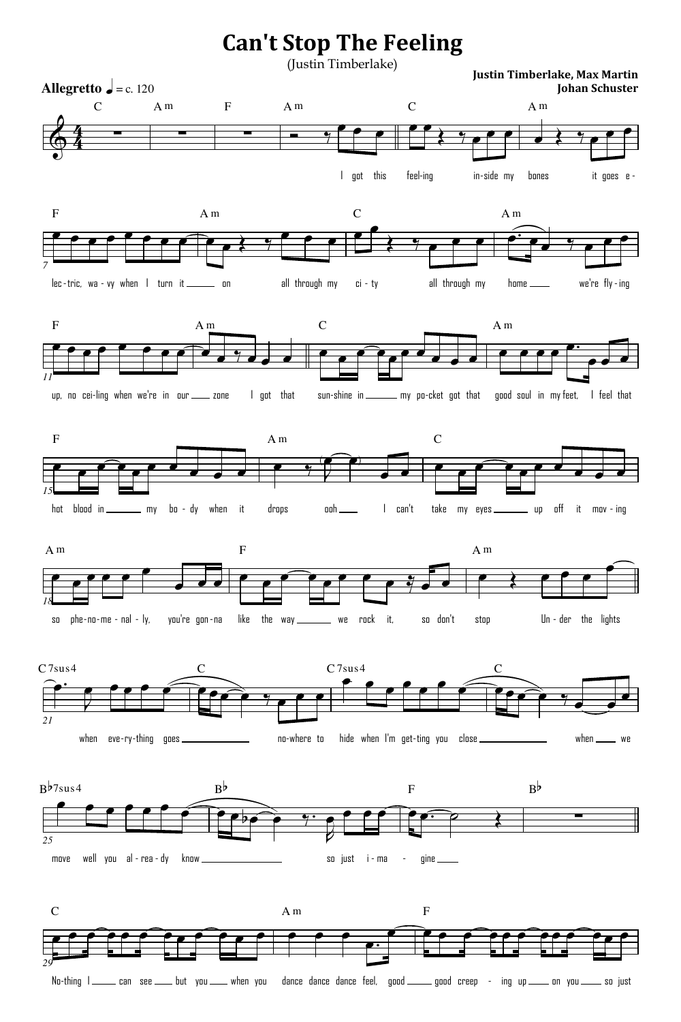## **Can't Stop The Feeling**

(Justin Timberlake)

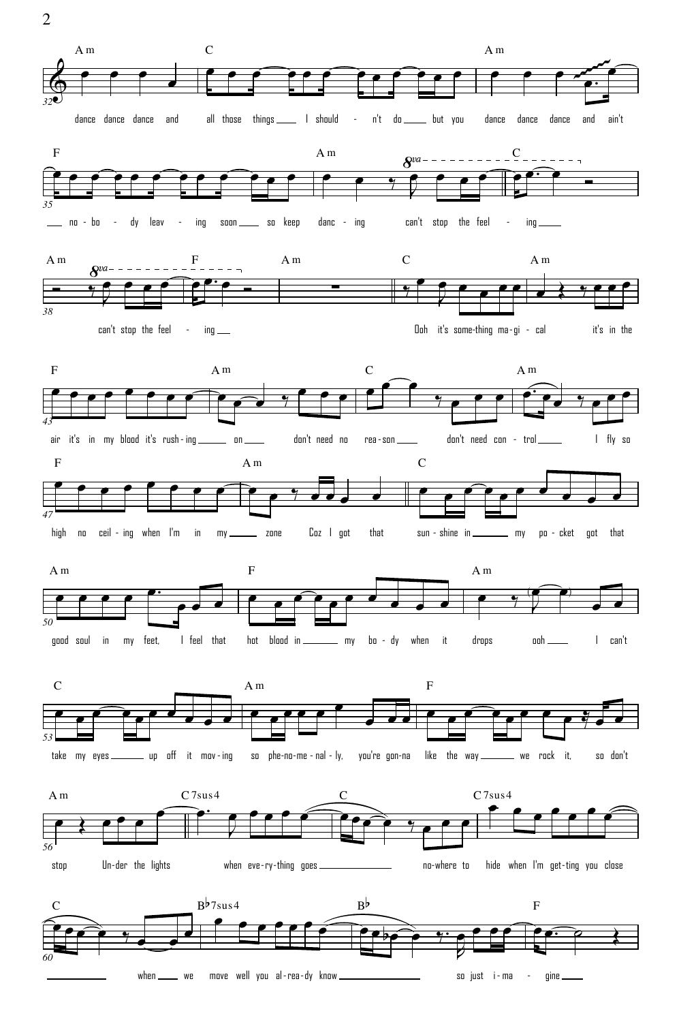A m C A m œ œ œ œ œ œ œ œ œ œ œ œ œ ~~~~~~ œ œ œ œ œ œ œ œ.  $\Phi$ *32* all those things 1 should - n't do \_\_\_\_\_ but you dance dance dance and dance dance dance and ain't F A m  $C_{-}$  $\frac{8^{va}}{2}$  $\mathbf{r}$  $=$   $\mathbf{r}$ œ œ œ œ œ œ œ œ œ œ œ œ  $\overrightarrow{e}$  $\bullet$   $\bullet$   $\bullet$ 。…<br><del>● </del> Ó J *35* \_\_ no - bo - dy leav - ing soon \_\_\_ so keep - bo - dy leav - ing soon \_\_\_\_ so keep danc - ing can't stop the feel ing C A m A m A m F  $\frac{\partial^{va}}{\partial x^{a}}$ 。。。。。<br>●<del>^^</del>● œ œ œ œ œ  $\overline{e}$  $\frac{1}{2}$   $\frac{9}{2}$   $\frac{1}{2}$   $\frac{1}{2}$   $\frac{1}{2}$ œ œ  $\frac{6}{7}$ Ó ∑  $\frac{1}{\gamma}$ œ J ₹ *38* can't stop the feel  $\blacksquare$  ing  $\blacksquare$ Ooh it's some thing ma gi - - - it's in the F C A m A m  $\widehat{\phantom{I}}$ œ œ œ œ œ œ œ œ  $\overline{\phantom{a}}$ œ  $\widehat{\cdot}$  $\overline{\mathbf{e}}$ œ œ œ  $\overrightarrow{e}$  $\frac{Q}{\sqrt{2}}$  $\frac{1}{\epsilon}$   $\frac{1}{\epsilon}$ *43* on don't need no air it's in my blood it's rush-ing \_\_\_\_\_ on \_\_\_\_ don't need no rea-son \_\_\_\_ don't need con rea-son \_\_\_\_\_ don't need con - trol \_\_\_\_\_ I fly so F C A m œ œ œ œ œ œ œ œ œ œ  $\widehat{\mathbf{P}}$  $\overline{\qquad \qquad }$ œ ‰ œ œ œ œ œ œ  $\begin{array}{c} \bullet \\ \bullet \end{array}$ *47* zone Coz I got that sun - shine in \_\_\_\_\_\_\_\_ my po - cket got that high no ceil-ing when I'm in my \_\_\_\_\_ zone Coz I got that sun-shine in \_\_\_\_\_\_ my po -F A m A m œ.  $\widehat{\mathcal{P}}$ œ œ œ œ œ  $\widehat{\mathbf{P}}$ œ œ  $\bullet$   $\bullet$  $\begin{array}{c} \bullet \\ \bullet \\ \bullet \end{array}$ œ œ  $\bullet$  $\overline{\phantom{0}}$ J *50* good soul in my feet, I feel that hot blood in \_\_\_\_\_\_\_\_ my bo - dy when it drops ooh I can't C A m F œ œ  $\widehat{\phantom{I}}$ œ œ œ <u>م م م</u> œ  $\widehat{\phantom{I}}$ œ œ  $e \frac{1}{2}$ œ œ œ œ œ œ **.** œ œ







2